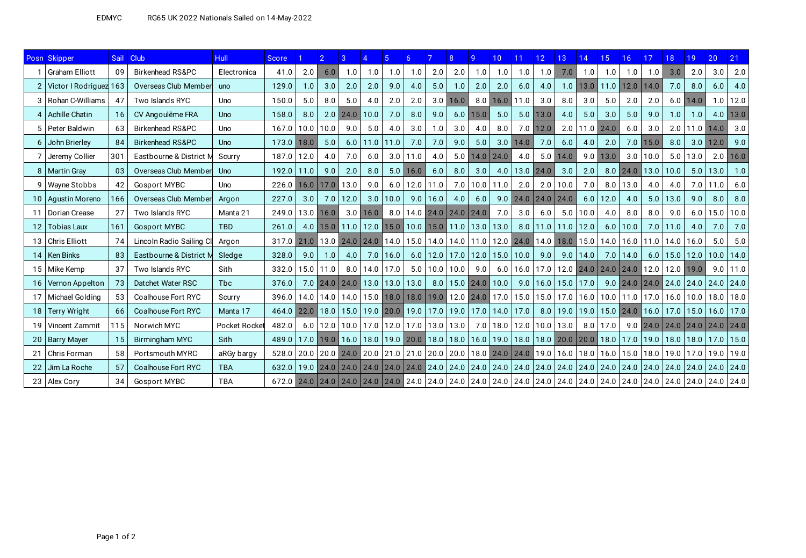|    | Posn Skipper           |     | Sail Club                   | <b>Hull</b>   | <b>Score</b>                                                                                                                                                           |      |               | 3                                                      |              |              |                                   |                     |            |                                                                | 10 <sup>°</sup> |                                 | 12          | 13                         | 14                                                                                              | 15            | 16.                         | 17         | 18           | 19.  | 20                                                                                                                                                             | 21            |
|----|------------------------|-----|-----------------------------|---------------|------------------------------------------------------------------------------------------------------------------------------------------------------------------------|------|---------------|--------------------------------------------------------|--------------|--------------|-----------------------------------|---------------------|------------|----------------------------------------------------------------|-----------------|---------------------------------|-------------|----------------------------|-------------------------------------------------------------------------------------------------|---------------|-----------------------------|------------|--------------|------|----------------------------------------------------------------------------------------------------------------------------------------------------------------|---------------|
|    | <b>Graham Elliott</b>  | 09  | <b>Birkenhead RS&amp;PC</b> | Electronica   | 41.0                                                                                                                                                                   | 2.0  | 6.0           | 1.0                                                    | 1.0          | 1.0          | 1.0                               | 2.0                 | 2.0        | 1.0                                                            | 1.0             | 1.0                             | 1.0         | 7.0                        | 1.0                                                                                             | 1.0           | 1.0                         | 1.0        | 3.0          | 2.0  | 3.0                                                                                                                                                            | 2.0           |
|    | Victor I Rodriguez 163 |     | Overseas Club Member        | uno           | 129.0                                                                                                                                                                  | 1.0  | 3.0           | 2.0                                                    | 2.0          | 9.0          | 4.0                               | 5.0                 | 1.0        | 2.0                                                            | 2.0             | 6.0                             | 4.0         | 1.0                        |                                                                                                 | $13.0$   11.0 | $12.0$ 14.0                 |            | 7.0          | 8.0  | 6.0                                                                                                                                                            | 4.0           |
|    | 3   Rohan C-Williams   | 47  | Two Islands RYC             | Uno           | 150.0                                                                                                                                                                  | 5.0  | 8.0           | 5.0                                                    | 4.0          | 2.0          | 2.0                               |                     | $3.0$ 16.0 | 8.0                                                            |                 | $16.0$ 11.0                     | 3.0         | 8.0                        | 3.0                                                                                             | 5.0           | 2.0                         | 2.0        | 6.0          | 14.0 |                                                                                                                                                                | $1.0$   12.0  |
|    | 4   Achille Chatin     | 16  | CV Angoulême FRA            | Uno           | 158.0                                                                                                                                                                  | 8.0  |               | $2.0$ 24.0                                             | 10.0         | 7.0          | 8.0                               | 9.0                 | 6.0        | 15.0                                                           | 5.0             | 5.0                             | 13.0        | 4.0                        | 5.0                                                                                             | 3.0           | 5.0                         | 9.0        | 1.0          | 1.0  |                                                                                                                                                                | $4.0$ 13.0    |
|    | 5   Peter Baldwin      | 63  | Birkenhead RS&PC            | Uno           | 167.0                                                                                                                                                                  | 10.0 | 10.0          | 9.0                                                    | 5.0          | 4.0          | 3.0                               | 1.0                 | $3.0\,$    | 4.0                                                            | 8.0             |                                 | $7.0$ 12.0  | 2.0                        | $11.0$ 24.0                                                                                     |               | 6.0                         | 3.0        | 2.0          |      | $11.0$   14.0                                                                                                                                                  | 3.0           |
|    | 6 John Brierley        | 84  | <b>Birkenhead RS&amp;PC</b> | Uno           | 173.0                                                                                                                                                                  | 18.0 | 5.0           |                                                        | $6.0$   11.0 | 11.0         | 7.0                               | 7.0                 | 9.0        | 5.0                                                            | 3.0             | 14.0                            | 7.0         | 6.0                        | 4.0                                                                                             | 2.0           | 7.0                         | 15.0       | 8.0          | 3.0  | 12.0                                                                                                                                                           | 9.0           |
|    | Jeremy Collier         | 301 | Eastbourne & District M     | Scurry        | 187.0                                                                                                                                                                  | 12.0 | 4.0           | 7.0                                                    | 6.0          |              | $3.0$   11.0                      | 4.0                 | 5.0        | 14.0                                                           | $ 24.0\rangle$  | 4.0                             |             | $5.0$   14.0               | 9.0                                                                                             | $13.0$        |                             | $3.0$ 10.0 | 5.0          | 13.0 |                                                                                                                                                                | $2.0$ 16.0    |
|    | 8   Martin Gray        | 03  | Overseas Club Member        | Uno           | 192.0                                                                                                                                                                  | 11.0 | 9.0           | 2.0                                                    | 8.0          |              | $5.0$ 16.0                        | 6.0                 | 8.0        | 3.0                                                            | 4.0             |                                 | $13.0$ 24.0 | 3.0                        | 2.0                                                                                             |               | $8.0$   24.0   13.0   10.0  |            |              | 5.0  | 13.0                                                                                                                                                           | 1.0           |
|    | 9   Wayne Stobbs       | 42  | <b>Gosport MYBC</b>         | Uno           | 226.0                                                                                                                                                                  | 16.0 |               | $17.0$ 13.0                                            | 9.0          |              | $6.0$   12.0                      | 11.0                | 7.0        |                                                                | $10.0$   11.0   | 2.0                             | 2.0         | 10.0                       | 7.0                                                                                             | 8.0           | 13.0                        | 4.0        | 4.0          | 7.0  | 11.0                                                                                                                                                           | 6.0           |
|    | 10   Agustin Moreno    | 166 | Overseas Club Member        | Argon         | 227.0                                                                                                                                                                  | 3.0  | 7.0           | 12.0                                                   | 3.0          | 10.0         |                                   | $9.0$   16.0        | 4.0        | 6.0                                                            |                 | $9.0$   24.0   24.0   24.0      |             |                            | 6.0                                                                                             | 12.0          | 4.0                         | 5.0        | 13.0         | 9.0  | 8.0                                                                                                                                                            | 8.0           |
| 11 | Dorian Crease          | 27  | Two Islands RYC             | Manta 21      | 249.0                                                                                                                                                                  |      | $13.0$   16.0 |                                                        | $3.0$ 16.0   |              | $8.0$   14.0   24.0   24.0   24.0 |                     |            |                                                                | 7.0             | 3.0                             | 6.0         | 5.0                        | 10.0                                                                                            | 4.0           | 8.0                         | 8.0        | 9.0          | 6.0  | 15.0                                                                                                                                                           | 10.0          |
|    | 12   Tobias Laux       | 161 | <b>Gosport MYBC</b>         | <b>TBD</b>    | 261.0                                                                                                                                                                  |      |               |                                                        |              |              |                                   |                     |            | 4.0 15.0 11.0 12.0 15.0 10.0 15.0 11.0 13.0 13.0               |                 |                                 |             | $8.0$   11.0   11.0   12.0 |                                                                                                 |               | $6.0$   10.0                |            | $7.0$   11.0 | 4.0  | 7.0                                                                                                                                                            | 7.0           |
|    | 13   Chris Elliott     | 74  | Lincoln Radio Sailing Cl    | Argon         | 317.0                                                                                                                                                                  | 21.0 |               | 13.0 24.0 24.0                                         |              |              |                                   |                     |            |                                                                |                 |                                 |             |                            | 14.0   15.0   14.0   14.0   11.0   12.0   24.0   14.0   18.0   15.0                             |               | $14.0$   16.0   11.0   14.0 |            |              | 16.0 | 5.0                                                                                                                                                            | 5.0           |
|    | 14   Ken Binks         | 83  | Eastbourne & District M     | Sledge        | 328.0                                                                                                                                                                  | 9.0  | 1.0           | 4.0                                                    |              | $7.0$   16.0 |                                   |                     |            | $6.0$   12.0   17.0   12.0   15.0   10.0   9.0                 |                 |                                 |             |                            | $9.0$   14.0                                                                                    |               | $7.0$   14.0                |            | $6.0$   15.0 | 12.0 |                                                                                                                                                                | $10.0$   14.0 |
|    | 15 Mike Kemp           | 37  | Two Islands RYC             | Sith          | 332.0                                                                                                                                                                  |      | $15.0$   11.0 |                                                        | $8.0$   14.0 | 17.0         |                                   | $5.0$   10.0   10.0 |            | 9.0                                                            |                 |                                 |             |                            | $6.0$   16.0   17.0   12.0   24.0   24.0   24.0   12.0   12.0   19.0                            |               |                             |            |              |      |                                                                                                                                                                | $9.0$   11.0  |
|    | 16   Vernon Appelton   | 73  | Datchet Water RSC           | <b>Tbc</b>    | 376.0                                                                                                                                                                  |      |               | $7.0$ 24.0 24.0 13.0 13.0 13.0                         |              |              |                                   |                     |            | $8.0$   15.0   24.0   10.0                                     |                 |                                 |             |                            | $9.0$   16.0   15.0   17.0                                                                      |               |                             |            |              |      | $9.0$   24.0   24.0   24.0   24.0   24.0   24.0                                                                                                                |               |
|    | 17   Michael Golding   | 53  | Coalhouse Fort RYC          | Scurry        | 396.0   14.0   14.0   14.0   15.0   15.0   18.0   18.0   19.0   12.0   24.0   17.0   15.0   15.0   17.0   16.0   10.0   11.0   17.0   16.0   10.0   18.0   18.0   18.0 |      |               |                                                        |              |              |                                   |                     |            |                                                                |                 |                                 |             |                            |                                                                                                 |               |                             |            |              |      |                                                                                                                                                                |               |
|    | 18 Terry Wright        | 66  | Coalhouse Fort RYC          | Manta 17      | 464.0                                                                                                                                                                  | 22.0 | 18.0          |                                                        |              |              |                                   |                     |            | $15.0$   19.0   20.0   19.0   17.0   19.0   17.0   14.0   17.0 |                 |                                 |             |                            | 8.0   19.0   19.0   15.0   24.0   16.0   17.0                                                   |               |                             |            |              |      | $15.0$   16.0   17.0                                                                                                                                           |               |
|    | 19   Vincent Zammit    | 115 | Norwich MYC                 | Pocket Rocket | 482.0                                                                                                                                                                  |      |               | $6.0$   12.0   10.0   17.0   12.0   17.0   13.0   13.0 |              |              |                                   |                     |            |                                                                |                 | 7.0   18.0   12.0   10.0   13.0 |             |                            |                                                                                                 | $8.0$   17.0  |                             |            |              |      | $9.0$   24.0   24.0   24.0   24.0   24.0                                                                                                                       |               |
| 20 | <b>Barry Mayer</b>     | 15  | <b>Birmingham MYC</b>       | Sith          | 489.0                                                                                                                                                                  |      |               | 17.0 19.0 16.0 18.0                                    |              |              |                                   |                     |            |                                                                |                 |                                 |             |                            | 19.0   20.0   18.0   18.0   16.0   19.0   18.0   18.0   20.0   20.0   18.0   17.0   19.0   18.0 |               |                             |            |              |      | 18.0   17.0   15.0                                                                                                                                             |               |
| 21 | Chris Forman           | 58  | Portsmouth MYRC             | aRGy bargy    | 528.0                                                                                                                                                                  |      |               |                                                        |              |              |                                   |                     |            |                                                                |                 |                                 |             |                            |                                                                                                 |               |                             |            |              |      | 20.0   20.0   24.0   20.0   21.0   21.0   20.0   20.0   20.0   18.0   24.0   19.0   19.0   16.0   16.0   15.0   15.0   18.0   19.0   17.0   19.0   19.0   19.0 |               |
|    | Jim La Roche           | 57  | Coalhouse Fort RYC          | <b>TBA</b>    | 632.0                                                                                                                                                                  |      |               |                                                        |              |              |                                   |                     |            |                                                                |                 |                                 |             |                            |                                                                                                 |               |                             |            |              |      | 19.0   24.0   24.0   24.0   24.0   24.0   24.0   24.0   24.0   24.0   24.0   24.0   24.0   24.0   24.0   24.0   24.0   24.0   24.0   24.0   24.0   24.0        |               |
|    | 23   Alex Cory         | 34  | <b>Gosport MYBC</b>         | <b>TBA</b>    |                                                                                                                                                                        |      |               |                                                        |              |              |                                   |                     |            |                                                                |                 |                                 |             |                            |                                                                                                 |               |                             |            |              |      |                                                                                                                                                                |               |